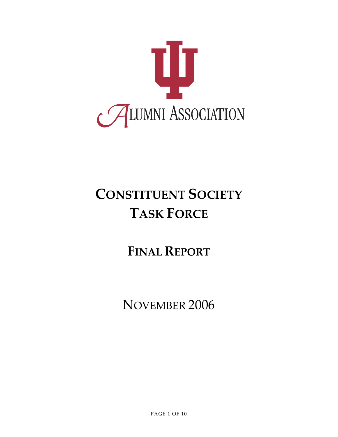

# **CONSTITUENT SOCIETY TASK FORCE**

## **FINAL REPORT**

NOVEMBER 2006

PAGE 1 OF 10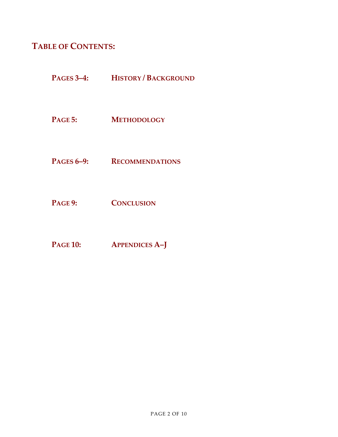## **TABLE OF CONTENTS:**

- **PAGES 3–4: HISTORY / BACKGROUND**
- **PAGE 5: METHODOLOGY**
- **PAGES 6–9: RECOMMENDATIONS**
- **PAGE 9: CONCLUSION**
- **PAGE 10: APPENDICES A–J**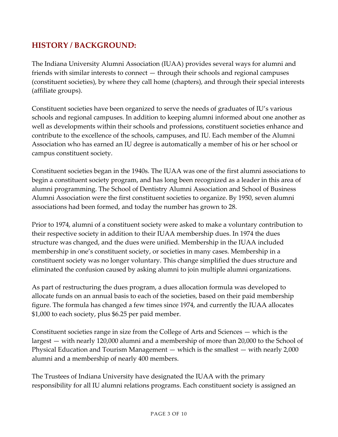## **HISTORY / BACKGROUND:**

The Indiana University Alumni Association (IUAA) provides several ways for alumni and friends with similar interests to connect — through their schools and regional campuses (constituent societies), by where they call home (chapters), and through their special interests (affiliate groups).

Constituent societies have been organized to serve the needs of graduates of IU's various schools and regional campuses. In addition to keeping alumni informed about one another as well as developments within their schools and professions, constituent societies enhance and contribute to the excellence of the schools, campuses, and IU. Each member of the Alumni Association who has earned an IU degree is automatically a member of his or her school or campus constituent society.

Constituent societies began in the 1940s. The IUAA was one of the first alumni associations to begin a constituent society program, and has long been recognized as a leader in this area of alumni programming. The School of Dentistry Alumni Association and School of Business Alumni Association were the first constituent societies to organize. By 1950, seven alumni associations had been formed, and today the number has grown to 28.

Prior to 1974, alumni of a constituent society were asked to make a voluntary contribution to their respective society in addition to their IUAA membership dues. In 1974 the dues structure was changed, and the dues were unified. Membership in the IUAA included membership in one's constituent society, or societies in many cases. Membership in a constituent society was no longer voluntary. This change simplified the dues structure and eliminated the confusion caused by asking alumni to join multiple alumni organizations.

As part of restructuring the dues program, a dues allocation formula was developed to allocate funds on an annual basis to each of the societies, based on their paid membership figure. The formula has changed a few times since 1974, and currently the IUAA allocates \$1,000 to each society, plus \$6.25 per paid member.

Constituent societies range in size from the College of Arts and Sciences — which is the largest — with nearly 120,000 alumni and a membership of more than 20,000 to the School of Physical Education and Tourism Management — which is the smallest — with nearly 2,000 alumni and a membership of nearly 400 members.

The Trustees of Indiana University have designated the IUAA with the primary responsibility for all IU alumni relations programs. Each constituent society is assigned an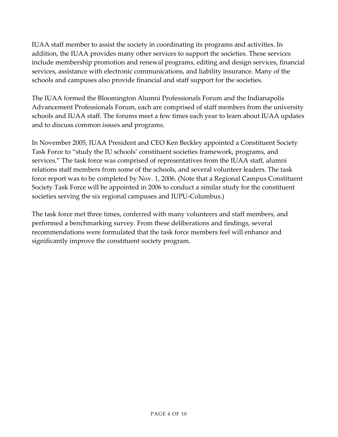IUAA staff member to assist the society in coordinating its programs and activities. In addition, the IUAA provides many other services to support the societies. These services include membership promotion and renewal programs, editing and design services, financial services, assistance with electronic communications, and liability insurance. Many of the schools and campuses also provide financial and staff support for the societies.

The IUAA formed the Bloomington Alumni Professionals Forum and the Indianapolis Advancement Professionals Forum, each are comprised of staff members from the university schools and IUAA staff. The forums meet a few times each year to learn about IUAA updates and to discuss common issues and programs.

In November 2005, IUAA President and CEO Ken Beckley appointed a Constituent Society Task Force to "study the IU schools' constituent societies framework, programs, and services." The task force was comprised of representatives from the IUAA staff, alumni relations staff members from some of the schools, and several volunteer leaders. The task force report was to be completed by Nov. 1, 2006. (Note that a Regional Campus Constituent Society Task Force will be appointed in 2006 to conduct a similar study for the constituent societies serving the six regional campuses and IUPU-Columbus.)

The task force met three times, conferred with many volunteers and staff members, and performed a benchmarking survey. From these deliberations and findings, several recommendations were formulated that the task force members feel will enhance and significantly improve the constituent society program.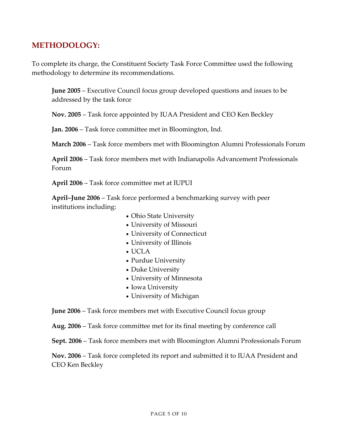## **METHODOLOGY:**

To complete its charge, the Constituent Society Task Force Committee used the following methodology to determine its recommendations.

**June 2005** – Executive Council focus group developed questions and issues to be addressed by the task force

**Nov. 2005** – Task force appointed by IUAA President and CEO Ken Beckley

**Jan. 2006** – Task force committee met in Bloomington, Ind.

**March 2006** – Task force members met with Bloomington Alumni Professionals Forum

**April 2006** – Task force members met with Indianapolis Advancement Professionals Forum

**April 2006** – Task force committee met at IUPUI

**April–June 2006** – Task force performed a benchmarking survey with peer institutions including:

- Ohio State University
- University of Missouri
- University of Connecticut
- University of Illinois
- UCLA
- Purdue University
- Duke University
- University of Minnesota
- Iowa University
- University of Michigan

**June 2006** – Task force members met with Executive Council focus group

**Aug. 2006** – Task force committee met for its final meeting by conference call

**Sept. 2006** – Task force members met with Bloomington Alumni Professionals Forum

**Nov. 2006** – Task force completed its report and submitted it to IUAA President and CEO Ken Beckley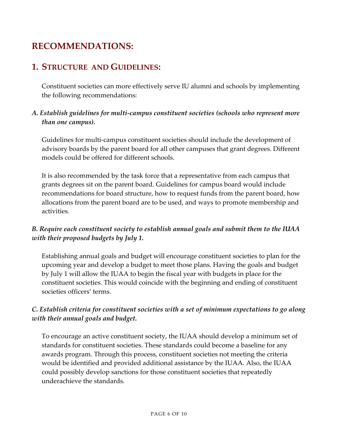## **RECOMMENDATIONS:**

## **1. STRUCTURE AND GUIDELINES:**

Constituent societies can more effectively serve IU alumni and schools by implementing the following recommendations:

#### *A. Establish guidelines for multi‐campus constituent societies (schools who represent more than one campus).*

Guidelines for multi‐campus constituent societies should include the development of advisory boards by the parent board for all other campuses that grant degrees. Different models could be offered for different schools.

It is also recommended by the task force that a representative from each campus that grants degrees sit on the parent board. Guidelines for campus board would include recommendations for board structure, how to request funds from the parent board, how allocations from the parent board are to be used, and ways to promote membership and activities.

### *B. Require each constituent society to establish annual goals and submit them to the IUAA with their proposed budgets by July 1.*

Establishing annual goals and budget will encourage constituent societies to plan for the upcoming year and develop a budget to meet those plans. Having the goals and budget by July 1 will allow the IUAA to begin the fiscal year with budgets in place for the constituent societies. This would coincide with the beginning and ending of constituent societies officers' terms.

### *C. Establish criteria for constituent societies with a set of minimum expectations to go along with their annual goals and budget.*

To encourage an active constituent society, the IUAA should develop a minimum set of standards for constituent societies. These standards could become a baseline for any awards program. Through this process, constituent societies not meeting the criteria would be identified and provided additional assistance by the IUAA. Also, the IUAA could possibly develop sanctions for those constituent societies that repeatedly underachieve the standards.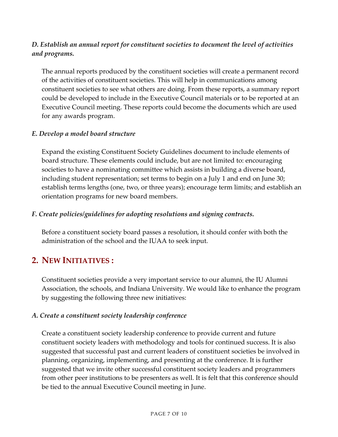#### *D. Establish an annual report for constituent societies to document the level of activities and programs.*

The annual reports produced by the constituent societies will create a permanent record of the activities of constituent societies. This will help in communications among constituent societies to see what others are doing. From these reports, a summary report could be developed to include in the Executive Council materials or to be reported at an Executive Council meeting. These reports could become the documents which are used for any awards program.

#### *E. Develop a model board structure*

Expand the existing Constituent Society Guidelines document to include elements of board structure. These elements could include, but are not limited to: encouraging societies to have a nominating committee which assists in building a diverse board, including student representation; set terms to begin on a July 1 and end on June 30; establish terms lengths (one, two, or three years); encourage term limits; and establish an orientation programs for new board members.

#### *F. Create policies/guidelines for adopting resolutions and signing contracts.*

Before a constituent society board passes a resolution, it should confer with both the administration of the school and the IUAA to seek input.

## **2. NEW INITIATIVES :**

Constituent societies provide a very important service to our alumni, the IU Alumni Association, the schools, and Indiana University. We would like to enhance the program by suggesting the following three new initiatives:

#### *A. Create a constituent society leadership conference*

Create a constituent society leadership conference to provide current and future constituent society leaders with methodology and tools for continued success. It is also suggested that successful past and current leaders of constituent societies be involved in planning, organizing, implementing, and presenting at the conference. It is further suggested that we invite other successful constituent society leaders and programmers from other peer institutions to be presenters as well. It is felt that this conference should be tied to the annual Executive Council meeting in June.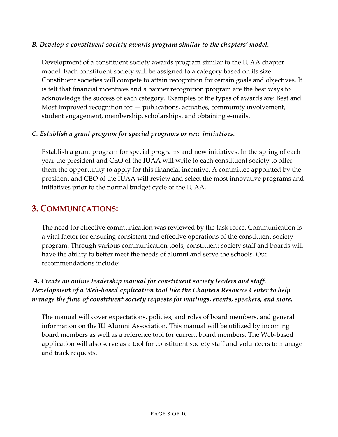#### *B. Develop a constituent society awards program similar to the chapters' model.*

Development of a constituent society awards program similar to the IUAA chapter model. Each constituent society will be assigned to a category based on its size. Constituent societies will compete to attain recognition for certain goals and objectives. It is felt that financial incentives and a banner recognition program are the best ways to acknowledge the success of each category. Examples of the types of awards are: Best and Most Improved recognition for — publications, activities, community involvement, student engagement, membership, scholarships, and obtaining e‐mails.

#### *C. Establish a grant program for special programs or new initiatives.*

Establish a grant program for special programs and new initiatives. In the spring of each year the president and CEO of the IUAA will write to each constituent society to offer them the opportunity to apply for this financial incentive. A committee appointed by the president and CEO of the IUAA will review and select the most innovative programs and initiatives prior to the normal budget cycle of the IUAA.

## **3. COMMUNICATIONS:**

The need for effective communication was reviewed by the task force. Communication is a vital factor for ensuring consistent and effective operations of the constituent society program. Through various communication tools, constituent society staff and boards will have the ability to better meet the needs of alumni and serve the schools. Our recommendations include:

#### *A. Create an online leadership manual for constituent society leaders and staff***.** *Development of a Web‐based application tool like the Chapters Resource Center to help manage the flow of constituent society requests for mailings, events, speakers, and more.*

The manual will cover expectations, policies, and roles of board members, and general information on the IU Alumni Association. This manual will be utilized by incoming board members as well as a reference tool for current board members. The Web‐based application will also serve as a tool for constituent society staff and volunteers to manage and track requests.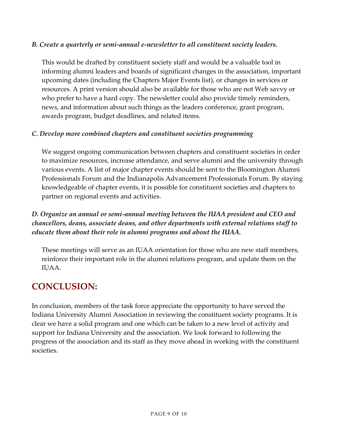#### *B. Create a quarterly or semi‐annual e‐newsletter to all constituent society leaders.*

This would be drafted by constituent society staff and would be a valuable tool in informing alumni leaders and boards of significant changes in the association, important upcoming dates (including the Chapters Major Events list), or changes in services or resources. A print version should also be available for those who are not Web savvy or who prefer to have a hard copy. The newsletter could also provide timely reminders, news, and information about such things as the leaders conference, grant program, awards program, budget deadlines, and related items.

#### *C. Develop more combined chapters and constituent societies programming*

We suggest ongoing communication between chapters and constituent societies in order to maximize resources, increase attendance, and serve alumni and the university through various events. A list of major chapter events should be sent to the Bloomington Alumni Professionals Forum and the Indianapolis Advancement Professionals Forum. By staying knowledgeable of chapter events, it is possible for constituent societies and chapters to partner on regional events and activities.

### *D. Organize an annual or semi‐annual meeting between the IUAA president and CEO and chancellors, deans, associate deans, and other departments with external relations staff to educate them about their role in alumni programs and about the IUAA.*

These meetings will serve as an IUAA orientation for those who are new staff members, reinforce their important role in the alumni relations program, and update them on the IUAA.

## **CONCLUSION:**

In conclusion, members of the task force appreciate the opportunity to have served the Indiana University Alumni Association in reviewing the constituent society programs. It is clear we have a solid program and one which can be taken to a new level of activity and support for Indiana University and the association. We look forward to following the progress of the association and its staff as they move ahead in working with the constituent societies.